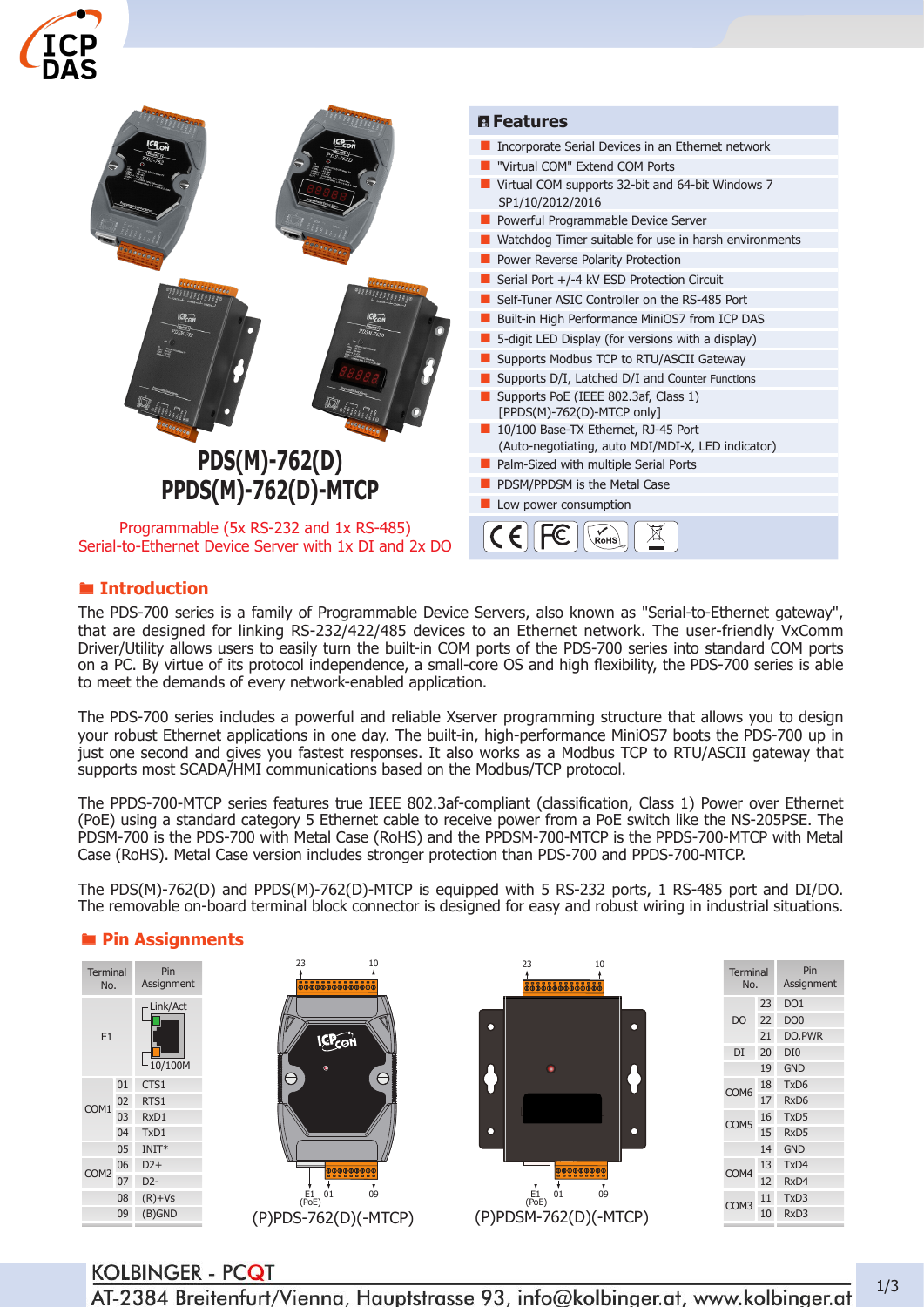



### ® **Introduction**

The PDS-700 series is a family of Programmable Device Servers, also known as "Serial-to-Ethernet gateway", that are designed for linking RS-232/422/485 devices to an Ethernet network. The user-friendly VxComm Driver/Utility allows users to easily turn the built-in COM ports of the PDS-700 series into standard COM ports on a PC. By virtue of its protocol independence, a small-core OS and high flexibility, the PDS-700 series is able to meet the demands of every network-enabled application.

The PDS-700 series includes a powerful and reliable Xserver programming structure that allows you to design your robust Ethernet applications in one day. The built-in, high-performance MiniOS7 boots the PDS-700 up in just one second and gives you fastest responses. It also works as a Modbus TCP to RTU/ASCII gateway that supports most SCADA/HMI communications based on the Modbus/TCP protocol.

The PPDS-700-MTCP series features true IEEE 802.3af-compliant (classification, Class 1) Power over Ethernet (PoE) using a standard category 5 Ethernet cable to receive power from a PoE switch like the NS-205PSE. The PDSM-700 is the PDS-700 with Metal Case (RoHS) and the PPDSM-700-MTCP is the PPDS-700-MTCP with Metal Case (RoHS). Metal Case version includes stronger protection than PDS-700 and PPDS-700-MTCP.

The PDS(M)-762(D) and PPDS(M)-762(D)-MTCP is equipped with 5 RS-232 ports, 1 RS-485 port and DI/DO. The removable on-board terminal block connector is designed for easy and robust wiring in industrial situations.

#### ® **Pin Assignments**

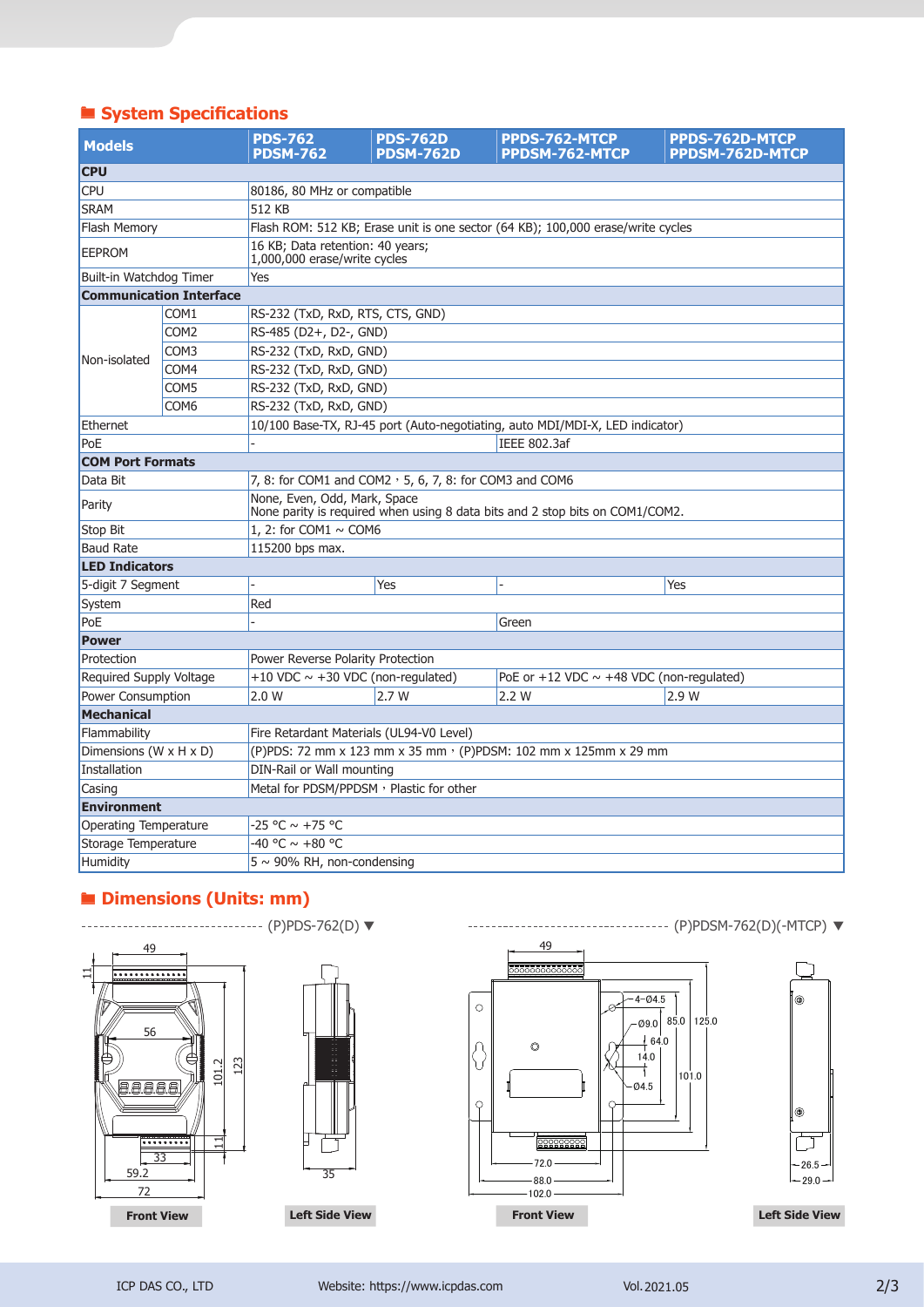# ® **System Specifications**

| <b>Models</b>           |                                | <b>PDS-762</b><br><b>PDSM-762</b>                                                                            | <b>PDS-762D</b><br><b>PDSM-762D</b> | PPDS-762-MTCP<br>PPDSM-762-MTCP                                              | <b>PPDS-762D-MTCP</b><br><b>PPDSM-762D-MTCP</b> |  |  |
|-------------------------|--------------------------------|--------------------------------------------------------------------------------------------------------------|-------------------------------------|------------------------------------------------------------------------------|-------------------------------------------------|--|--|
| <b>CPU</b>              |                                |                                                                                                              |                                     |                                                                              |                                                 |  |  |
| <b>CPU</b>              |                                | 80186, 80 MHz or compatible                                                                                  |                                     |                                                                              |                                                 |  |  |
| <b>SRAM</b>             |                                | 512 KB                                                                                                       |                                     |                                                                              |                                                 |  |  |
| <b>Flash Memory</b>     |                                | Flash ROM: 512 KB; Erase unit is one sector (64 KB); 100,000 erase/write cycles                              |                                     |                                                                              |                                                 |  |  |
| <b>EEPROM</b>           |                                | 16 KB; Data retention: 40 years;<br>1,000,000 erase/write cycles                                             |                                     |                                                                              |                                                 |  |  |
| Built-in Watchdog Timer |                                | Yes                                                                                                          |                                     |                                                                              |                                                 |  |  |
|                         | <b>Communication Interface</b> |                                                                                                              |                                     |                                                                              |                                                 |  |  |
|                         | COM <sub>1</sub>               | RS-232 (TxD, RxD, RTS, CTS, GND)                                                                             |                                     |                                                                              |                                                 |  |  |
|                         | COM <sub>2</sub>               | RS-485 (D2+, D2-, GND)                                                                                       |                                     |                                                                              |                                                 |  |  |
|                         | COM3                           | RS-232 (TxD, RxD, GND)                                                                                       |                                     |                                                                              |                                                 |  |  |
| Non-isolated            | COM4                           | RS-232 (TxD, RxD, GND)                                                                                       |                                     |                                                                              |                                                 |  |  |
|                         | COM5                           | RS-232 (TxD, RxD, GND)                                                                                       |                                     |                                                                              |                                                 |  |  |
|                         | COM <sub>6</sub>               |                                                                                                              | RS-232 (TxD, RxD, GND)              |                                                                              |                                                 |  |  |
| Ethernet                |                                |                                                                                                              |                                     | 10/100 Base-TX, RJ-45 port (Auto-negotiating, auto MDI/MDI-X, LED indicator) |                                                 |  |  |
| PoE                     |                                |                                                                                                              |                                     | IEEE 802.3af                                                                 |                                                 |  |  |
| <b>COM Port Formats</b> |                                |                                                                                                              |                                     |                                                                              |                                                 |  |  |
| Data Bit                |                                | 7, 8: for COM1 and COM2 $\cdot$ 5, 6, 7, 8: for COM3 and COM6                                                |                                     |                                                                              |                                                 |  |  |
| Parity                  |                                | None, Even, Odd, Mark, Space<br>None parity is required when using 8 data bits and 2 stop bits on COM1/COM2. |                                     |                                                                              |                                                 |  |  |
| <b>Stop Bit</b>         |                                | 1. 2: for COM1 $\sim$ COM6                                                                                   |                                     |                                                                              |                                                 |  |  |
| <b>Baud Rate</b>        |                                | 115200 bps max.                                                                                              |                                     |                                                                              |                                                 |  |  |
| <b>LED Indicators</b>   |                                |                                                                                                              |                                     |                                                                              |                                                 |  |  |
| 5-digit 7 Segment       |                                |                                                                                                              | Yes                                 |                                                                              | Yes                                             |  |  |
| System                  |                                | Red                                                                                                          |                                     |                                                                              |                                                 |  |  |
| PoE                     |                                | Green                                                                                                        |                                     |                                                                              |                                                 |  |  |
| <b>Power</b>            |                                |                                                                                                              |                                     |                                                                              |                                                 |  |  |
| Protection              |                                | Power Reverse Polarity Protection                                                                            |                                     |                                                                              |                                                 |  |  |
| Required Supply Voltage |                                | +10 VDC $\sim$ +30 VDC (non-regulated)<br>PoE or +12 VDC $\sim$ +48 VDC (non-regulated)                      |                                     |                                                                              |                                                 |  |  |
| Power Consumption       |                                | 2.0 W                                                                                                        | 2.7W                                | 2.2 W                                                                        | 2.9 W                                           |  |  |
| <b>Mechanical</b>       |                                |                                                                                                              |                                     |                                                                              |                                                 |  |  |
| Flammability            |                                | Fire Retardant Materials (UL94-V0 Level)                                                                     |                                     |                                                                              |                                                 |  |  |
| Dimensions (W x H x D)  |                                | (P)PDS: 72 mm x 123 mm x 35 mm · (P)PDSM: 102 mm x 125mm x 29 mm                                             |                                     |                                                                              |                                                 |  |  |
| Installation            |                                | DIN-Rail or Wall mounting                                                                                    |                                     |                                                                              |                                                 |  |  |
| Casing                  |                                | Metal for PDSM/PPDSM, Plastic for other                                                                      |                                     |                                                                              |                                                 |  |  |
| <b>Environment</b>      |                                |                                                                                                              |                                     |                                                                              |                                                 |  |  |
| Operating Temperature   |                                | -25 °C ~ +75 °C                                                                                              |                                     |                                                                              |                                                 |  |  |
| Storage Temperature     |                                | -40 °C ~ +80 °C                                                                                              |                                     |                                                                              |                                                 |  |  |
| Humidity                |                                | $5 \sim 90\%$ RH, non-condensing                                                                             |                                     |                                                                              |                                                 |  |  |

### ® **Dimensions (Units: mm)**